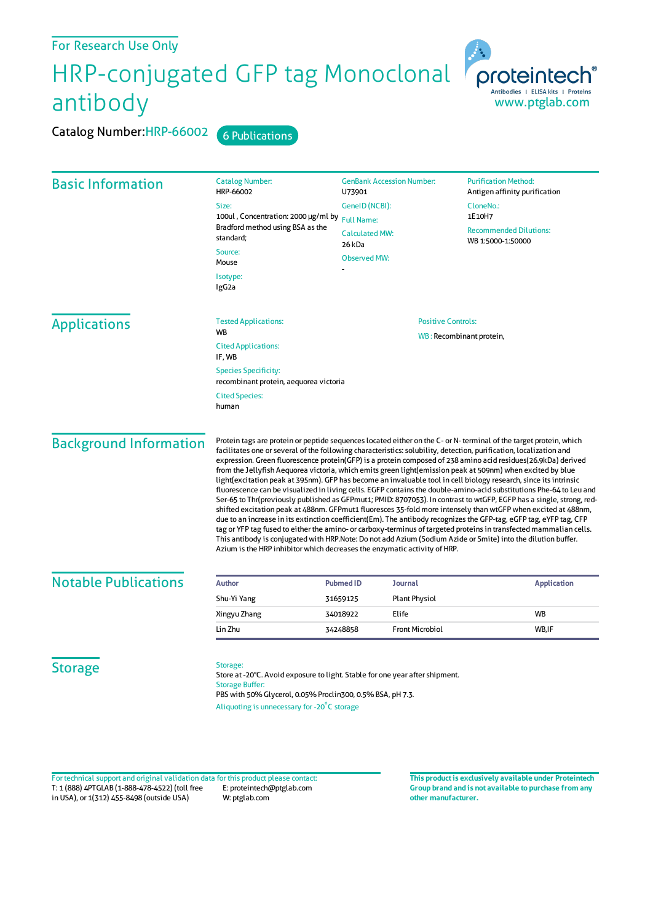## For Research Use Only

## HRP-conjugated GFP tag Monoclonal antibody

Catalog Number: HRP-66002 6 Publications

| <b>Basic Information</b>    | <b>Catalog Number:</b><br>HRP-66002                                                                                                                                                                                             | <b>GenBank Accession Number:</b><br>U73901                                                                                                                                                                                                                                                                                                                                                                                                                                                                                                                                                                                                                                                                                                                                                                                                                                                                                                                                                                                                                                                                                                                                                                                                                                      |                        | <b>Purification Method:</b><br>Antigen affinity purification |                       |
|-----------------------------|---------------------------------------------------------------------------------------------------------------------------------------------------------------------------------------------------------------------------------|---------------------------------------------------------------------------------------------------------------------------------------------------------------------------------------------------------------------------------------------------------------------------------------------------------------------------------------------------------------------------------------------------------------------------------------------------------------------------------------------------------------------------------------------------------------------------------------------------------------------------------------------------------------------------------------------------------------------------------------------------------------------------------------------------------------------------------------------------------------------------------------------------------------------------------------------------------------------------------------------------------------------------------------------------------------------------------------------------------------------------------------------------------------------------------------------------------------------------------------------------------------------------------|------------------------|--------------------------------------------------------------|-----------------------|
|                             | Size:<br>100ul, Concentration: 2000 µg/ml by Full Name:<br>Bradford method using BSA as the<br>standard;                                                                                                                        | GeneID (NCBI):                                                                                                                                                                                                                                                                                                                                                                                                                                                                                                                                                                                                                                                                                                                                                                                                                                                                                                                                                                                                                                                                                                                                                                                                                                                                  |                        | CloneNo.:                                                    |                       |
|                             |                                                                                                                                                                                                                                 |                                                                                                                                                                                                                                                                                                                                                                                                                                                                                                                                                                                                                                                                                                                                                                                                                                                                                                                                                                                                                                                                                                                                                                                                                                                                                 |                        | 1E10H7                                                       |                       |
|                             |                                                                                                                                                                                                                                 | <b>Calculated MW:</b><br>26 kDa<br><b>Observed MW:</b>                                                                                                                                                                                                                                                                                                                                                                                                                                                                                                                                                                                                                                                                                                                                                                                                                                                                                                                                                                                                                                                                                                                                                                                                                          |                        | <b>Recommended Dilutions:</b><br>WB 1:5000-1:50000           |                       |
|                             | Source:<br>Mouse                                                                                                                                                                                                                |                                                                                                                                                                                                                                                                                                                                                                                                                                                                                                                                                                                                                                                                                                                                                                                                                                                                                                                                                                                                                                                                                                                                                                                                                                                                                 |                        |                                                              |                       |
|                             | Isotype:<br>IgG <sub>2a</sub>                                                                                                                                                                                                   |                                                                                                                                                                                                                                                                                                                                                                                                                                                                                                                                                                                                                                                                                                                                                                                                                                                                                                                                                                                                                                                                                                                                                                                                                                                                                 |                        |                                                              |                       |
| <b>Applications</b>         | <b>Tested Applications:</b>                                                                                                                                                                                                     | <b>Positive Controls:</b>                                                                                                                                                                                                                                                                                                                                                                                                                                                                                                                                                                                                                                                                                                                                                                                                                                                                                                                                                                                                                                                                                                                                                                                                                                                       |                        |                                                              |                       |
|                             | <b>WB</b><br><b>Cited Applications:</b>                                                                                                                                                                                         | WB: Recombinant protein,                                                                                                                                                                                                                                                                                                                                                                                                                                                                                                                                                                                                                                                                                                                                                                                                                                                                                                                                                                                                                                                                                                                                                                                                                                                        |                        |                                                              |                       |
|                             | IF, WB<br><b>Species Specificity:</b><br>recombinant protein, aequorea victoria                                                                                                                                                 |                                                                                                                                                                                                                                                                                                                                                                                                                                                                                                                                                                                                                                                                                                                                                                                                                                                                                                                                                                                                                                                                                                                                                                                                                                                                                 |                        |                                                              |                       |
|                             |                                                                                                                                                                                                                                 |                                                                                                                                                                                                                                                                                                                                                                                                                                                                                                                                                                                                                                                                                                                                                                                                                                                                                                                                                                                                                                                                                                                                                                                                                                                                                 |                        |                                                              | <b>Cited Species:</b> |
|                             | human                                                                                                                                                                                                                           |                                                                                                                                                                                                                                                                                                                                                                                                                                                                                                                                                                                                                                                                                                                                                                                                                                                                                                                                                                                                                                                                                                                                                                                                                                                                                 |                        |                                                              |                       |
|                             |                                                                                                                                                                                                                                 | facilitates one or several of the following characteristics: solubility, detection, purification, localization and<br>expression. Green fluorescence protein(GFP) is a protein composed of 238 amino acid residues(26.9kDa) derived<br>from the Jellyfish Aequorea victoria, which emits green light(emission peak at 509nm) when excited by blue<br>light(excitation peak at 395nm). GFP has become an invaluable tool in cell biology research, since its intrinsic<br>fluorescence can be visualized in living cells. EGFP contains the double-amino-acid substitutions Phe-64 to Leu and<br>Ser-65 to Thr(previously published as GFPmut1; PMID: 8707053). In contrast to wtGFP, EGFP has a single, strong, red-<br>shifted excitation peak at 488nm. GFPmut1 fluoresces 35-fold more intensely than wtGFP when excited at 488nm,<br>due to an increase in its extinction coefficient(Em). The antibody recognizes the GFP-tag, eGFP tag, eYFP tag, CFP<br>tag or YFP tag fused to either the amino- or carboxy-terminus of targeted proteins in transfected mammalian cells.<br>This antibody is conjugated with HRP.Note: Do not add Azium (Sodium Azide or Smite) into the dilution buffer.<br>Azium is the HRP inhibitor which decreases the enzymatic activity of HRP. |                        |                                                              |                       |
| <b>Notable Publications</b> |                                                                                                                                                                                                                                 |                                                                                                                                                                                                                                                                                                                                                                                                                                                                                                                                                                                                                                                                                                                                                                                                                                                                                                                                                                                                                                                                                                                                                                                                                                                                                 |                        |                                                              |                       |
|                             | <b>Author</b><br>Shu-Yi Yang                                                                                                                                                                                                    | <b>Pubmed ID</b><br><b>Journal</b><br>31659125                                                                                                                                                                                                                                                                                                                                                                                                                                                                                                                                                                                                                                                                                                                                                                                                                                                                                                                                                                                                                                                                                                                                                                                                                                  | <b>Plant Physiol</b>   | <b>Application</b>                                           |                       |
|                             | Xingyu Zhang                                                                                                                                                                                                                    | Elife<br>34018922                                                                                                                                                                                                                                                                                                                                                                                                                                                                                                                                                                                                                                                                                                                                                                                                                                                                                                                                                                                                                                                                                                                                                                                                                                                               | WB                     |                                                              |                       |
|                             | Lin Zhu                                                                                                                                                                                                                         | 34248858                                                                                                                                                                                                                                                                                                                                                                                                                                                                                                                                                                                                                                                                                                                                                                                                                                                                                                                                                                                                                                                                                                                                                                                                                                                                        | <b>Front Microbiol</b> | WB,IF                                                        |                       |
| <b>Storage</b>              | Storage:<br>Store at -20°C. Avoid exposure to light. Stable for one year after shipment.<br><b>Storage Buffer:</b><br>PBS with 50% Glycerol, 0.05% Proclin300, 0.5% BSA, pH 7.3.<br>Aliquoting is unnecessary for -20°C storage |                                                                                                                                                                                                                                                                                                                                                                                                                                                                                                                                                                                                                                                                                                                                                                                                                                                                                                                                                                                                                                                                                                                                                                                                                                                                                 |                        |                                                              |                       |

T: 1 (888) 4PTGLAB (1-888-478-4522) (toll free in USA), or 1(312) 455-8498 (outside USA) E: proteintech@ptglab.com W: ptglab.com Fortechnical support and original validation data forthis product please contact: **This productis exclusively available under Proteintech**

**Group brand and is not available to purchase from any other manufacturer.**

Antibodies | ELISA kits | Proteins<br>WWW.ptglab.com

proteintech